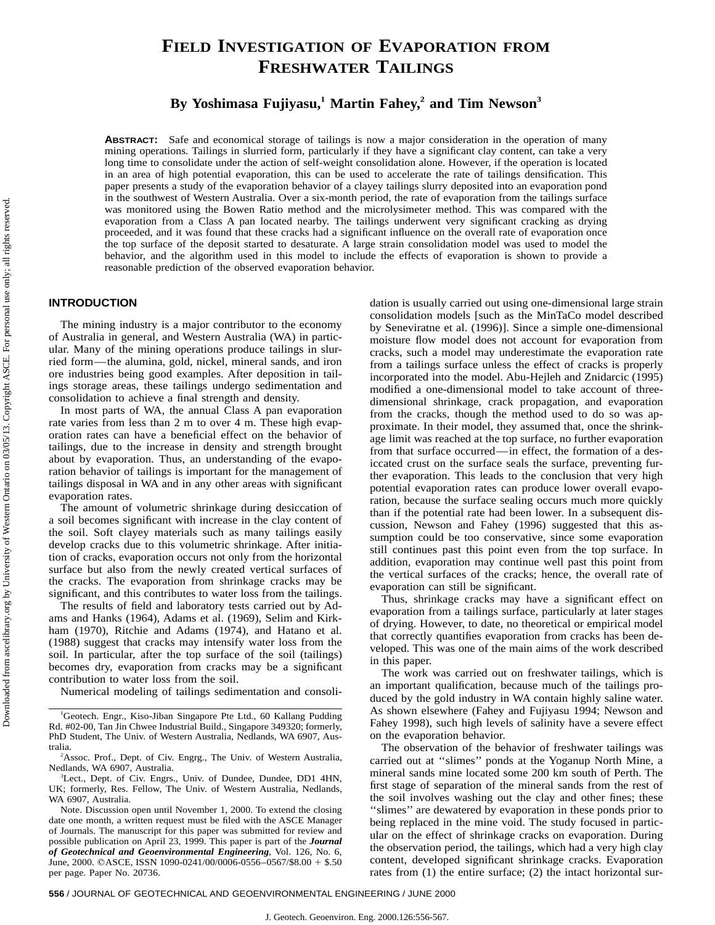# **FIELD INVESTIGATION OF EVAPORATION FROM FRESHWATER TAILINGS**

**By Yoshimasa Fujiyasu,1 Martin Fahey,2 and Tim Newson<sup>3</sup>**

ABSTRACT: Safe and economical storage of tailings is now a major consideration in the operation of many mining operations. Tailings in slurried form, particularly if they have a significant clay content, can take a very long time to consolidate under the action of self-weight consolidation alone. However, if the operation is located in an area of high potential evaporation, this can be used to accelerate the rate of tailings densification. This paper presents a study of the evaporation behavior of a clayey tailings slurry deposited into an evaporation pond in the southwest of Western Australia. Over a six-month period, the rate of evaporation from the tailings surface was monitored using the Bowen Ratio method and the microlysimeter method. This was compared with the evaporation from a Class A pan located nearby. The tailings underwent very significant cracking as drying proceeded, and it was found that these cracks had a significant influence on the overall rate of evaporation once the top surface of the deposit started to desaturate. A large strain consolidation model was used to model the behavior, and the algorithm used in this model to include the effects of evaporation is shown to provide a reasonable prediction of the observed evaporation behavior.

## **INTRODUCTION**

The mining industry is a major contributor to the economy of Australia in general, and Western Australia (WA) in particular. Many of the mining operations produce tailings in slurried form—the alumina, gold, nickel, mineral sands, and iron ore industries being good examples. After deposition in tailings storage areas, these tailings undergo sedimentation and consolidation to achieve a final strength and density.

In most parts of WA, the annual Class A pan evaporation rate varies from less than 2 m to over 4 m. These high evaporation rates can have a beneficial effect on the behavior of tailings, due to the increase in density and strength brought about by evaporation. Thus, an understanding of the evaporation behavior of tailings is important for the management of tailings disposal in WA and in any other areas with significant evaporation rates.

The amount of volumetric shrinkage during desiccation of a soil becomes significant with increase in the clay content of the soil. Soft clayey materials such as many tailings easily develop cracks due to this volumetric shrinkage. After initiation of cracks, evaporation occurs not only from the horizontal surface but also from the newly created vertical surfaces of the cracks. The evaporation from shrinkage cracks may be significant, and this contributes to water loss from the tailings.

The results of field and laboratory tests carried out by Adams and Hanks (1964), Adams et al. (1969), Selim and Kirkham (1970), Ritchie and Adams (1974), and Hatano et al. (1988) suggest that cracks may intensify water loss from the soil. In particular, after the top surface of the soil (tailings) becomes dry, evaporation from cracks may be a significant contribution to water loss from the soil.

Numerical modeling of tailings sedimentation and consoli-

dation is usually carried out using one-dimensional large strain consolidation models [such as the MinTaCo model described by Seneviratne et al. (1996)]. Since a simple one-dimensional moisture flow model does not account for evaporation from cracks, such a model may underestimate the evaporation rate from a tailings surface unless the effect of cracks is properly incorporated into the model. Abu-Hejleh and Znidarcic (1995) modified a one-dimensional model to take account of threedimensional shrinkage, crack propagation, and evaporation from the cracks, though the method used to do so was approximate. In their model, they assumed that, once the shrinkage limit was reached at the top surface, no further evaporation from that surface occurred—in effect, the formation of a desiccated crust on the surface seals the surface, preventing further evaporation. This leads to the conclusion that very high potential evaporation rates can produce lower overall evaporation, because the surface sealing occurs much more quickly than if the potential rate had been lower. In a subsequent discussion, Newson and Fahey (1996) suggested that this assumption could be too conservative, since some evaporation still continues past this point even from the top surface. In addition, evaporation may continue well past this point from the vertical surfaces of the cracks; hence, the overall rate of evaporation can still be significant.

Thus, shrinkage cracks may have a significant effect on evaporation from a tailings surface, particularly at later stages of drying. However, to date, no theoretical or empirical model that correctly quantifies evaporation from cracks has been developed. This was one of the main aims of the work described in this paper.

The work was carried out on freshwater tailings, which is an important qualification, because much of the tailings produced by the gold industry in WA contain highly saline water. As shown elsewhere (Fahey and Fujiyasu 1994; Newson and Fahey 1998), such high levels of salinity have a severe effect on the evaporation behavior.

The observation of the behavior of freshwater tailings was carried out at ''slimes'' ponds at the Yoganup North Mine, a mineral sands mine located some 200 km south of Perth. The first stage of separation of the mineral sands from the rest of the soil involves washing out the clay and other fines; these ''slimes'' are dewatered by evaporation in these ponds prior to being replaced in the mine void. The study focused in particular on the effect of shrinkage cracks on evaporation. During the observation period, the tailings, which had a very high clay content, developed significant shrinkage cracks. Evaporation rates from (1) the entire surface; (2) the intact horizontal sur-

<sup>&</sup>lt;sup>1</sup>Geotech. Engr., Kiso-Jiban Singapore Pte Ltd., 60 Kallang Pudding Rd. #02-00, Tan Jin Chwee Industrial Build., Singapore 349320; formerly, PhD Student, The Univ. of Western Australia, Nedlands, WA 6907, Australia.

<sup>&</sup>lt;sup>2</sup>Assoc. Prof., Dept. of Civ. Engrg., The Univ. of Western Australia, Nedlands, WA 6907, Australia.

<sup>&</sup>lt;sup>3</sup>Lect., Dept. of Civ. Engrs., Univ. of Dundee, Dundee, DD1 4HN, UK; formerly, Res. Fellow, The Univ. of Western Australia, Nedlands, WA 6907, Australia.

Note. Discussion open until November 1, 2000. To extend the closing date one month, a written request must be filed with the ASCE Manager of Journals. The manuscript for this paper was submitted for review and possible publication on April 23, 1999. This paper is part of the *Journal of Geotechnical and Geoenvironmental Engineering*, Vol. 126, No. 6, June, 2000. ©ASCE, ISSN 1090-0241/00/0006-0556-0567/\$8.00 + \$.50 per page. Paper No. 20736.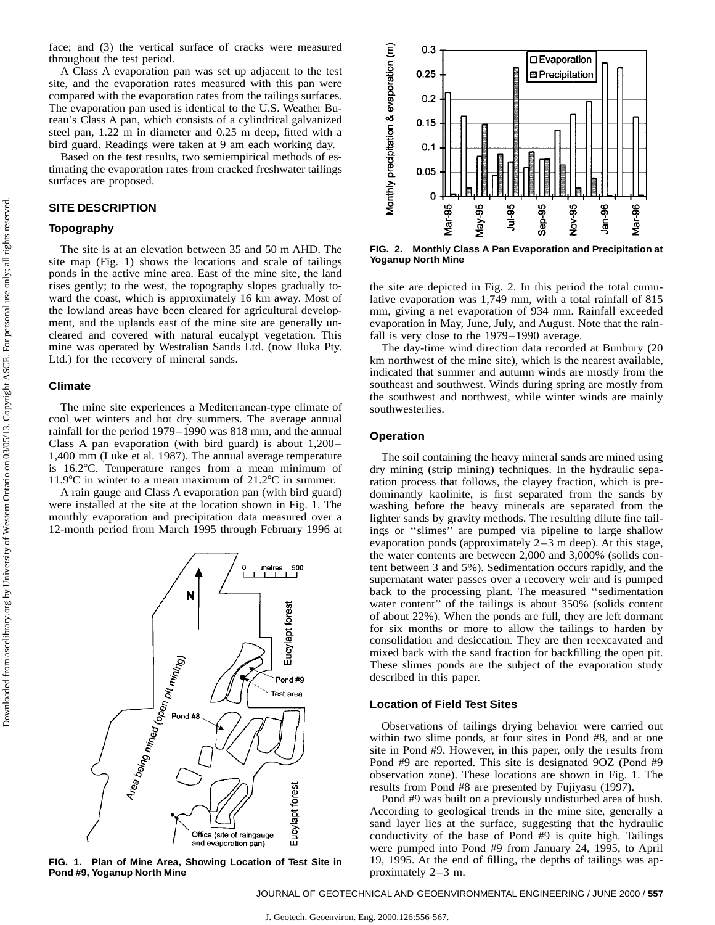face; and (3) the vertical surface of cracks were measured throughout the test period.

A Class A evaporation pan was set up adjacent to the test site, and the evaporation rates measured with this pan were compared with the evaporation rates from the tailings surfaces. The evaporation pan used is identical to the U.S. Weather Bureau's Class A pan, which consists of a cylindrical galvanized steel pan, 1.22 m in diameter and 0.25 m deep, fitted with a bird guard. Readings were taken at 9 am each working day.

Based on the test results, two semiempirical methods of estimating the evaporation rates from cracked freshwater tailings surfaces are proposed.

## **SITE DESCRIPTION**

## **Topography**

The site is at an elevation between 35 and 50 m AHD. The site map (Fig. 1) shows the locations and scale of tailings ponds in the active mine area. East of the mine site, the land rises gently; to the west, the topography slopes gradually toward the coast, which is approximately 16 km away. Most of the lowland areas have been cleared for agricultural development, and the uplands east of the mine site are generally uncleared and covered with natural eucalypt vegetation. This mine was operated by Westralian Sands Ltd. (now Iluka Pty. Ltd.) for the recovery of mineral sands.

#### **Climate**

The mine site experiences a Mediterranean-type climate of cool wet winters and hot dry summers. The average annual rainfall for the period 1979–1990 was 818 mm, and the annual Class A pan evaporation (with bird guard) is about 1,200– 1,400 mm (Luke et al. 1987). The annual average temperature is 16.2°C. Temperature ranges from a mean minimum of 11.9 $\degree$ C in winter to a mean maximum of 21.2 $\degree$ C in summer.

A rain gauge and Class A evaporation pan (with bird guard) were installed at the site at the location shown in Fig. 1. The monthly evaporation and precipitation data measured over a 12-month period from March 1995 through February 1996 at



**FIG. 1. Plan of Mine Area, Showing Location of Test Site in Pond #9, Yoganup North Mine**



**FIG. 2. Monthly Class A Pan Evaporation and Precipitation at Yoganup North Mine**

the site are depicted in Fig. 2. In this period the total cumulative evaporation was 1,749 mm, with a total rainfall of 815 mm, giving a net evaporation of 934 mm. Rainfall exceeded evaporation in May, June, July, and August. Note that the rainfall is very close to the 1979–1990 average.

The day-time wind direction data recorded at Bunbury (20 km northwest of the mine site), which is the nearest available, indicated that summer and autumn winds are mostly from the southeast and southwest. Winds during spring are mostly from the southwest and northwest, while winter winds are mainly southwesterlies.

#### **Operation**

The soil containing the heavy mineral sands are mined using dry mining (strip mining) techniques. In the hydraulic separation process that follows, the clayey fraction, which is predominantly kaolinite, is first separated from the sands by washing before the heavy minerals are separated from the lighter sands by gravity methods. The resulting dilute fine tailings or ''slimes'' are pumped via pipeline to large shallow evaporation ponds (approximately 2–3 m deep). At this stage, the water contents are between 2,000 and 3,000% (solids content between 3 and 5%). Sedimentation occurs rapidly, and the supernatant water passes over a recovery weir and is pumped back to the processing plant. The measured ''sedimentation water content'' of the tailings is about 350% (solids content of about 22%). When the ponds are full, they are left dormant for six months or more to allow the tailings to harden by consolidation and desiccation. They are then reexcavated and mixed back with the sand fraction for backfilling the open pit. These slimes ponds are the subject of the evaporation study described in this paper.

## **Location of Field Test Sites**

Observations of tailings drying behavior were carried out within two slime ponds, at four sites in Pond #8, and at one site in Pond #9. However, in this paper, only the results from Pond #9 are reported. This site is designated 9OZ (Pond #9 observation zone). These locations are shown in Fig. 1. The results from Pond #8 are presented by Fujiyasu (1997).

Pond #9 was built on a previously undisturbed area of bush. According to geological trends in the mine site, generally a sand layer lies at the surface, suggesting that the hydraulic conductivity of the base of Pond #9 is quite high. Tailings were pumped into Pond #9 from January 24, 1995, to April 19, 1995. At the end of filling, the depths of tailings was approximately 2–3 m.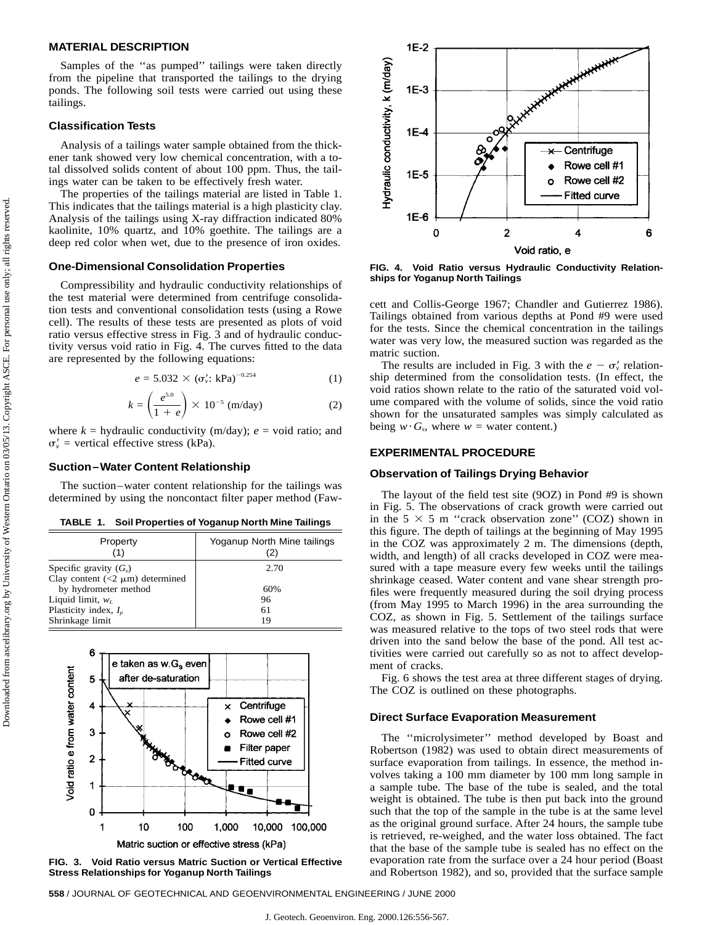### **MATERIAL DESCRIPTION**

Samples of the ''as pumped'' tailings were taken directly from the pipeline that transported the tailings to the drying ponds. The following soil tests were carried out using these tailings.

#### **Classification Tests**

Analysis of a tailings water sample obtained from the thickener tank showed very low chemical concentration, with a total dissolved solids content of about 100 ppm. Thus, the tailings water can be taken to be effectively fresh water.

The properties of the tailings material are listed in Table 1. This indicates that the tailings material is a high plasticity clay. Analysis of the tailings using X-ray diffraction indicated 80% kaolinite, 10% quartz, and 10% goethite. The tailings are a deep red color when wet, due to the presence of iron oxides.

#### **One-Dimensional Consolidation Properties**

Compressibility and hydraulic conductivity relationships of the test material were determined from centrifuge consolidation tests and conventional consolidation tests (using a Rowe cell). The results of these tests are presented as plots of void ratio versus effective stress in Fig. 3 and of hydraulic conductivity versus void ratio in Fig. 4. The curves fitted to the data are represented by the following equations:

$$
e = 5.032 \times (\sigma_v' \cdot kPa)^{-0.254}
$$
 (1)

$$
k = \left(\frac{e^{5.0}}{1+e}\right) \times 10^{-5} \text{ (m/day)}\tag{2}
$$

where  $k =$  hydraulic conductivity (m/day);  $e =$  void ratio; and  $\sigma'_v$  = vertical effective stress (kPa).

#### **Suction–Water Content Relationship**

The suction–water content relationship for the tailings was determined by using the noncontact filter paper method (Faw-

**TABLE 1. Soil Properties of Yoganup North Mine Tailings**

| Property<br>(1)                                                  | Yoganup North Mine tailings |
|------------------------------------------------------------------|-----------------------------|
| Specific gravity $(G_s)$<br>Clay content $(<2 \mu m)$ determined | 2.70                        |
| by hydrometer method                                             | 60%                         |
| Liquid limit, $w_L$                                              | 96                          |
| Plasticity index, $I_n$<br>Shrinkage limit                       | 61<br>19                    |



**FIG. 3. Void Ratio versus Matric Suction or Vertical Effective Stress Relationships for Yoganup North Tailings**



**FIG. 4. Void Ratio versus Hydraulic Conductivity Relationships for Yoganup North Tailings**

cett and Collis-George 1967; Chandler and Gutierrez 1986). Tailings obtained from various depths at Pond #9 were used for the tests. Since the chemical concentration in the tailings water was very low, the measured suction was regarded as the matric suction.

The results are included in Fig. 3 with the  $e - \sigma'_{v}$  relationship determined from the consolidation tests. (In effect, the void ratios shown relate to the ratio of the saturated void volume compared with the volume of solids, since the void ratio shown for the unsaturated samples was simply calculated as being  $w \cdot G_s$ , where  $w =$  water content.)

## **EXPERIMENTAL PROCEDURE**

## **Observation of Tailings Drying Behavior**

The layout of the field test site (9OZ) in Pond #9 is shown in Fig. 5. The observations of crack growth were carried out in the  $5 \times 5$  m "crack observation zone" (COZ) shown in this figure. The depth of tailings at the beginning of May 1995 in the COZ was approximately 2 m. The dimensions (depth, width, and length) of all cracks developed in COZ were measured with a tape measure every few weeks until the tailings shrinkage ceased. Water content and vane shear strength profiles were frequently measured during the soil drying process (from May 1995 to March 1996) in the area surrounding the COZ, as shown in Fig. 5. Settlement of the tailings surface was measured relative to the tops of two steel rods that were driven into the sand below the base of the pond. All test activities were carried out carefully so as not to affect development of cracks.

Fig. 6 shows the test area at three different stages of drying. The COZ is outlined on these photographs.

#### **Direct Surface Evaporation Measurement**

The ''microlysimeter'' method developed by Boast and Robertson (1982) was used to obtain direct measurements of surface evaporation from tailings. In essence, the method involves taking a 100 mm diameter by 100 mm long sample in a sample tube. The base of the tube is sealed, and the total weight is obtained. The tube is then put back into the ground such that the top of the sample in the tube is at the same level as the original ground surface. After 24 hours, the sample tube is retrieved, re-weighed, and the water loss obtained. The fact that the base of the sample tube is sealed has no effect on the evaporation rate from the surface over a 24 hour period (Boast and Robertson 1982), and so, provided that the surface sample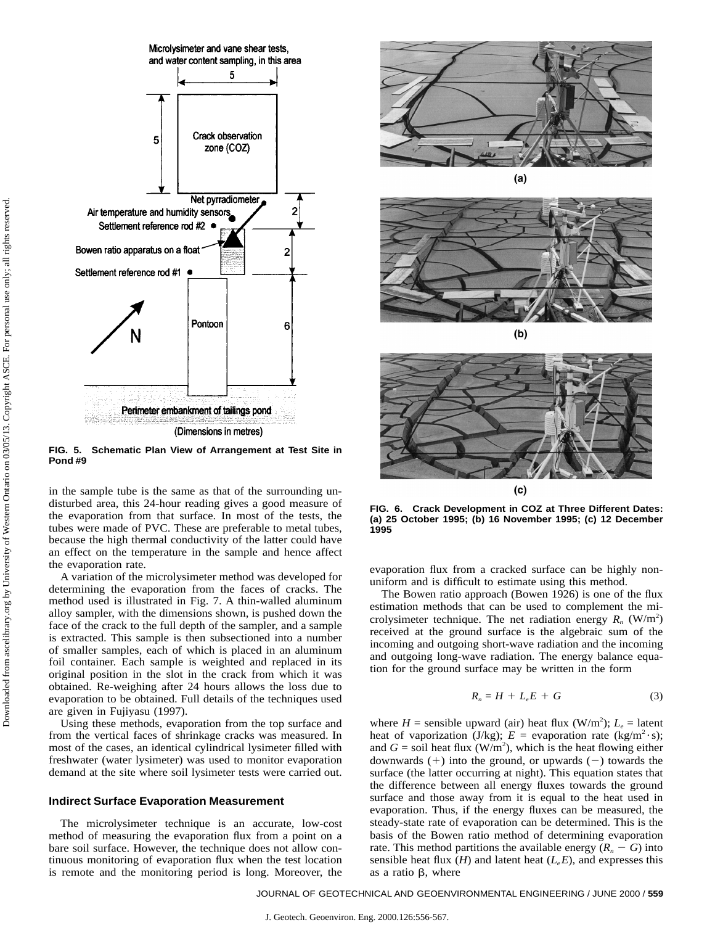

**FIG. 5. Schematic Plan View of Arrangement at Test Site in Pond #9**

in the sample tube is the same as that of the surrounding undisturbed area, this 24-hour reading gives a good measure of the evaporation from that surface. In most of the tests, the tubes were made of PVC. These are preferable to metal tubes, because the high thermal conductivity of the latter could have an effect on the temperature in the sample and hence affect the evaporation rate.

A variation of the microlysimeter method was developed for determining the evaporation from the faces of cracks. The method used is illustrated in Fig. 7. A thin-walled aluminum alloy sampler, with the dimensions shown, is pushed down the face of the crack to the full depth of the sampler, and a sample is extracted. This sample is then subsectioned into a number of smaller samples, each of which is placed in an aluminum foil container. Each sample is weighted and replaced in its original position in the slot in the crack from which it was obtained. Re-weighing after 24 hours allows the loss due to evaporation to be obtained. Full details of the techniques used are given in Fujiyasu (1997).

Using these methods, evaporation from the top surface and from the vertical faces of shrinkage cracks was measured. In most of the cases, an identical cylindrical lysimeter filled with freshwater (water lysimeter) was used to monitor evaporation demand at the site where soil lysimeter tests were carried out.

#### **Indirect Surface Evaporation Measurement**

The microlysimeter technique is an accurate, low-cost method of measuring the evaporation flux from a point on a bare soil surface. However, the technique does not allow continuous monitoring of evaporation flux when the test location is remote and the monitoring period is long. Moreover, the



 $(b)$ 



**FIG. 6. Crack Development in COZ at Three Different Dates: (a) 25 October 1995; (b) 16 November 1995; (c) 12 December 1995**

evaporation flux from a cracked surface can be highly nonuniform and is difficult to estimate using this method.

The Bowen ratio approach (Bowen 1926) is one of the flux estimation methods that can be used to complement the microlysimeter technique. The net radiation energy  $R_n$  (W/m<sup>2</sup>) received at the ground surface is the algebraic sum of the incoming and outgoing short-wave radiation and the incoming and outgoing long-wave radiation. The energy balance equation for the ground surface may be written in the form

$$
R_n = H + L_e E + G \tag{3}
$$

where  $H =$  sensible upward (air) heat flux (W/m<sup>2</sup>);  $L_e =$  latent heat of vaporization (J/kg);  $E =$  evaporation rate (kg/m<sup>2</sup>·s); and  $G =$  soil heat flux (W/m<sup>2</sup>), which is the heat flowing either downwards  $(+)$  into the ground, or upwards  $(-)$  towards the surface (the latter occurring at night). This equation states that the difference between all energy fluxes towards the ground surface and those away from it is equal to the heat used in evaporation. Thus, if the energy fluxes can be measured, the steady-state rate of evaporation can be determined. This is the basis of the Bowen ratio method of determining evaporation rate. This method partitions the available energy  $(R_n - G)$  into sensible heat flux  $(H)$  and latent heat  $(L_eE)$ , and expresses this as a ratio  $\beta$ , where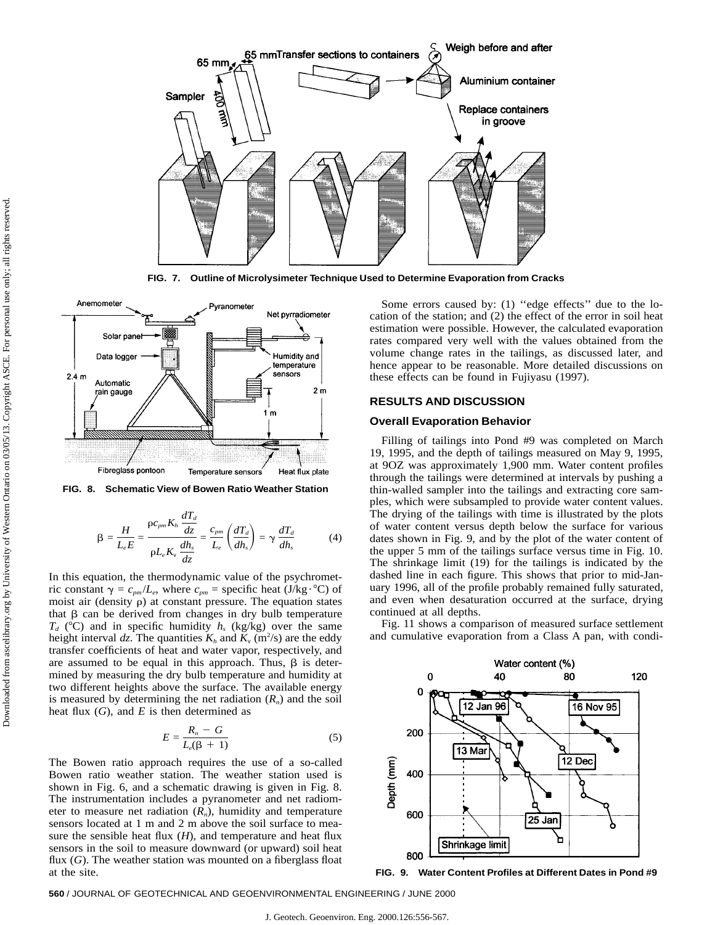



**FIG. 8. Schematic View of Bowen Ratio Weather Station**

$$
\beta = \frac{H}{L_e E} = \frac{\rho c_{pm} K_h \frac{dT_d}{dz}}{\rho L_e K_v \frac{dh_s}{dz}} = \frac{c_{pm}}{L_e} \left(\frac{dT_d}{dh_s}\right) = \gamma \frac{dT_d}{dh_s}
$$
(4)

In this equation, the thermodynamic value of the psychrometric constant  $\gamma = c_{pm}/L_e$ , where  $c_{pm}$  = specific heat (J/kg·°C) of moist air (density  $\rho$ ) at constant pressure. The equation states that  $\beta$  can be derived from changes in dry bulb temperature  $T_d$  (°C) and in specific humidity  $h_s$  (kg/kg) over the same height interval  $dz$ . The quantities  $K_h$  and  $K_v$  (m<sup>2</sup>/s) are the eddy transfer coefficients of heat and water vapor, respectively, and are assumed to be equal in this approach. Thus,  $\beta$  is determined by measuring the dry bulb temperature and humidity at two different heights above the surface. The available energy is measured by determining the net radiation  $(R_n)$  and the soil heat flux  $(G)$ , and  $E$  is then determined as

$$
E = \frac{R_n - G}{L_e(\beta + 1)}\tag{5}
$$

The Bowen ratio approach requires the use of a so-called Bowen ratio weather station. The weather station used is shown in Fig. 6, and a schematic drawing is given in Fig. 8. The instrumentation includes a pyranometer and net radiometer to measure net radiation  $(R_n)$ , humidity and temperature sensors located at 1 m and 2 m above the soil surface to measure the sensible heat flux  $(H)$ , and temperature and heat flux sensors in the soil to measure downward (or upward) soil heat flux (*G*). The weather station was mounted on a fiberglass float at the site.

Some errors caused by: (1) ''edge effects'' due to the location of the station; and (2) the effect of the error in soil heat estimation were possible. However, the calculated evaporation rates compared very well with the values obtained from the volume change rates in the tailings, as discussed later, and hence appear to be reasonable. More detailed discussions on these effects can be found in Fujiyasu (1997).

Aluminium container

Replace containers

in groove

## **RESULTS AND DISCUSSION**

#### **Overall Evaporation Behavior**

Filling of tailings into Pond #9 was completed on March 19, 1995, and the depth of tailings measured on May 9, 1995, at 9OZ was approximately 1,900 mm. Water content profiles through the tailings were determined at intervals by pushing a thin-walled sampler into the tailings and extracting core samples, which were subsampled to provide water content values. The drying of the tailings with time is illustrated by the plots of water content versus depth below the surface for various dates shown in Fig. 9, and by the plot of the water content of the upper 5 mm of the tailings surface versus time in Fig. 10. The shrinkage limit (19) for the tailings is indicated by the dashed line in each figure. This shows that prior to mid-January 1996, all of the profile probably remained fully saturated, and even when desaturation occurred at the surface, drying continued at all depths.

Fig. 11 shows a comparison of measured surface settlement and cumulative evaporation from a Class A pan, with condi-



**FIG. 9. Water Content Profiles at Different Dates in Pond #9**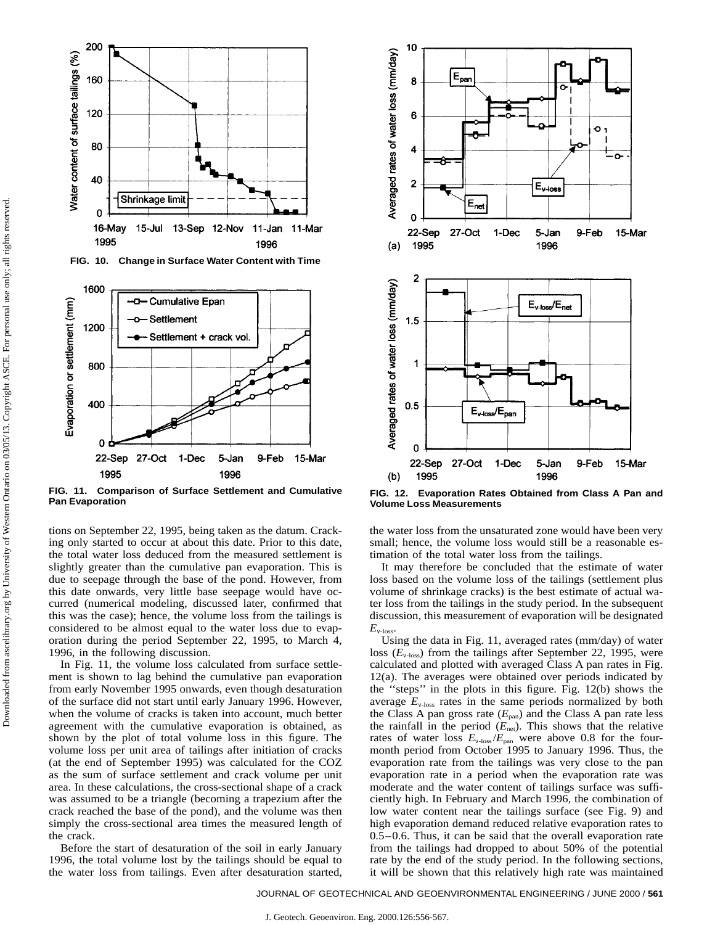

**FIG. 10. Change in Surface Water Content with Time**



**FIG. 11. Comparison of Surface Settlement and Cumulative Pan Evaporation FIG. 12. Evaporation Rates Obtained from Class A Pan and**

tions on September 22, 1995, being taken as the datum. Cracking only started to occur at about this date. Prior to this date, the total water loss deduced from the measured settlement is slightly greater than the cumulative pan evaporation. This is due to seepage through the base of the pond. However, from this date onwards, very little base seepage would have occurred (numerical modeling, discussed later, confirmed that this was the case); hence, the volume loss from the tailings is considered to be almost equal to the water loss due to evaporation during the period September 22, 1995, to March 4, 1996, in the following discussion.

In Fig. 11, the volume loss calculated from surface settlement is shown to lag behind the cumulative pan evaporation from early November 1995 onwards, even though desaturation of the surface did not start until early January 1996. However, when the volume of cracks is taken into account, much better agreement with the cumulative evaporation is obtained, as shown by the plot of total volume loss in this figure. The volume loss per unit area of tailings after initiation of cracks (at the end of September 1995) was calculated for the COZ as the sum of surface settlement and crack volume per unit area. In these calculations, the cross-sectional shape of a crack was assumed to be a triangle (becoming a trapezium after the crack reached the base of the pond), and the volume was then simply the cross-sectional area times the measured length of the crack.

Before the start of desaturation of the soil in early January 1996, the total volume lost by the tailings should be equal to the water loss from tailings. Even after desaturation started,



**Volume Loss Measurements**

the water loss from the unsaturated zone would have been very small; hence, the volume loss would still be a reasonable estimation of the total water loss from the tailings.

It may therefore be concluded that the estimate of water loss based on the volume loss of the tailings (settlement plus volume of shrinkage cracks) is the best estimate of actual water loss from the tailings in the study period. In the subsequent discussion, this measurement of evaporation will be designated  $E_{\nu\text{-loss}}$ 

Using the data in Fig. 11, averaged rates (mm/day) of water loss  $(E_{\nu\text{-loss}})$  from the tailings after September 22, 1995, were calculated and plotted with averaged Class A pan rates in Fig. 12(a). The averages were obtained over periods indicated by the ''steps'' in the plots in this figure. Fig. 12(b) shows the average  $E_{\nu\text{-loss}}$  rates in the same periods normalized by both the Class A pan gross rate  $(E_{\text{pan}})$  and the Class A pan rate less the rainfall in the period  $(E_{\text{net}})$ . This shows that the relative rates of water loss  $E_{\nu\text{-loss}}/E_{\text{pan}}$  were above 0.8 for the fourmonth period from October 1995 to January 1996. Thus, the evaporation rate from the tailings was very close to the pan evaporation rate in a period when the evaporation rate was moderate and the water content of tailings surface was sufficiently high. In February and March 1996, the combination of low water content near the tailings surface (see Fig. 9) and high evaporation demand reduced relative evaporation rates to 0.5–0.6. Thus, it can be said that the overall evaporation rate from the tailings had dropped to about 50% of the potential rate by the end of the study period. In the following sections, it will be shown that this relatively high rate was maintained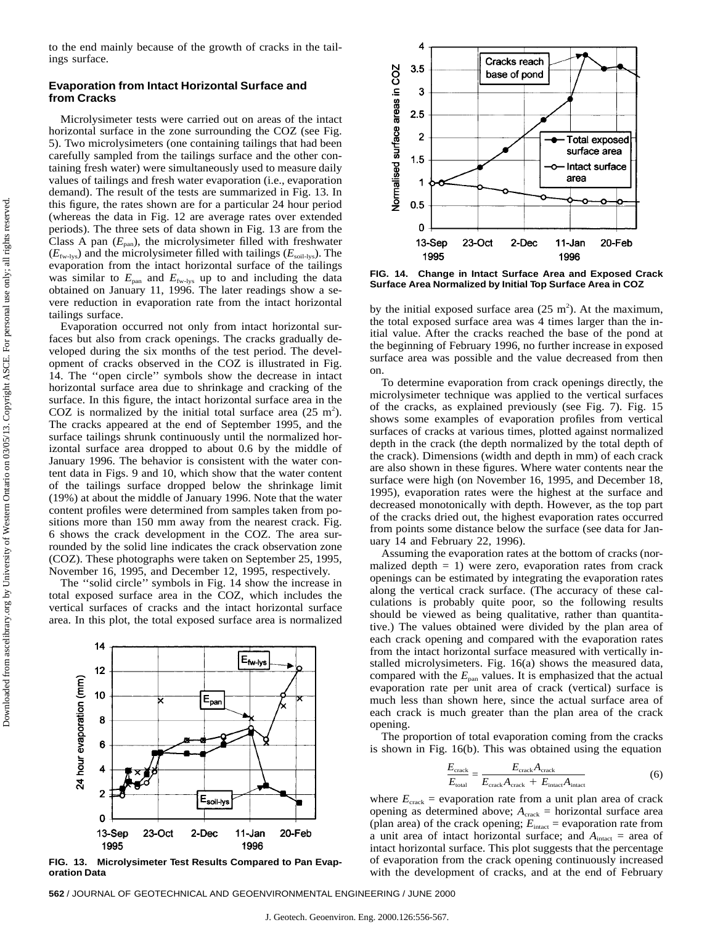to the end mainly because of the growth of cracks in the tailings surface.

## **Evaporation from Intact Horizontal Surface and from Cracks**

Microlysimeter tests were carried out on areas of the intact horizontal surface in the zone surrounding the COZ (see Fig. 5). Two microlysimeters (one containing tailings that had been carefully sampled from the tailings surface and the other containing fresh water) were simultaneously used to measure daily values of tailings and fresh water evaporation (i.e., evaporation demand). The result of the tests are summarized in Fig. 13. In this figure, the rates shown are for a particular 24 hour period (whereas the data in Fig. 12 are average rates over extended periods). The three sets of data shown in Fig. 13 are from the Class A pan  $(E_{\text{pan}})$ , the microlysimeter filled with freshwater  $(E_{\text{fw-lys}})$  and the microlysimeter filled with tailings  $(E_{\text{soil-lys}})$ . The evaporation from the intact horizontal surface of the tailings was similar to  $E_{\text{pan}}$  and  $E_{\text{fw-lys}}$  up to and including the data obtained on January 11, 1996. The later readings show a severe reduction in evaporation rate from the intact horizontal tailings surface.

Evaporation occurred not only from intact horizontal surfaces but also from crack openings. The cracks gradually developed during the six months of the test period. The development of cracks observed in the COZ is illustrated in Fig. 14. The ''open circle'' symbols show the decrease in intact horizontal surface area due to shrinkage and cracking of the surface. In this figure, the intact horizontal surface area in the COZ is normalized by the initial total surface area  $(25 \text{ m}^2)$ . The cracks appeared at the end of September 1995, and the surface tailings shrunk continuously until the normalized horizontal surface area dropped to about 0.6 by the middle of January 1996. The behavior is consistent with the water content data in Figs. 9 and 10, which show that the water content of the tailings surface dropped below the shrinkage limit (19%) at about the middle of January 1996. Note that the water content profiles were determined from samples taken from positions more than 150 mm away from the nearest crack. Fig. 6 shows the crack development in the COZ. The area surrounded by the solid line indicates the crack observation zone (COZ). These photographs were taken on September 25, 1995, November 16, 1995, and December 12, 1995, respectively.

The ''solid circle'' symbols in Fig. 14 show the increase in total exposed surface area in the COZ, which includes the vertical surfaces of cracks and the intact horizontal surface area. In this plot, the total exposed surface area is normalized



 $\overline{\mathbf{A}}$ Cracks reach Normalised surface areas in COZ  $3.5$ base of pond 3  $2.5$  $\overline{2}$ - Total exposed surface area  $1.5$ Intact surface area 1  $0.5$ o 0 13-Sep 23-Oct 2-Dec 20-Feb 11-Jan 1995 1996

**FIG. 14. Change in Intact Surface Area and Exposed Crack Surface Area Normalized by Initial Top Surface Area in COZ**

by the initial exposed surface area  $(25 \text{ m}^2)$ . At the maximum, the total exposed surface area was 4 times larger than the initial value. After the cracks reached the base of the pond at the beginning of February 1996, no further increase in exposed surface area was possible and the value decreased from then on.

To determine evaporation from crack openings directly, the microlysimeter technique was applied to the vertical surfaces of the cracks, as explained previously (see Fig. 7). Fig. 15 shows some examples of evaporation profiles from vertical surfaces of cracks at various times, plotted against normalized depth in the crack (the depth normalized by the total depth of the crack). Dimensions (width and depth in mm) of each crack are also shown in these figures. Where water contents near the surface were high (on November 16, 1995, and December 18, 1995), evaporation rates were the highest at the surface and decreased monotonically with depth. However, as the top part of the cracks dried out, the highest evaporation rates occurred from points some distance below the surface (see data for January 14 and February 22, 1996).

Assuming the evaporation rates at the bottom of cracks (normalized depth  $= 1$ ) were zero, evaporation rates from crack openings can be estimated by integrating the evaporation rates along the vertical crack surface. (The accuracy of these calculations is probably quite poor, so the following results should be viewed as being qualitative, rather than quantitative.) The values obtained were divided by the plan area of each crack opening and compared with the evaporation rates from the intact horizontal surface measured with vertically installed microlysimeters. Fig. 16(a) shows the measured data, compared with the  $E_{\text{pan}}$  values. It is emphasized that the actual evaporation rate per unit area of crack (vertical) surface is much less than shown here, since the actual surface area of each crack is much greater than the plan area of the crack opening.

The proportion of total evaporation coming from the cracks is shown in Fig. 16(b). This was obtained using the equation

$$
\frac{E_{\text{crack}}}{E_{\text{total}}} = \frac{E_{\text{crack}} A_{\text{crack}}}{E_{\text{crack}} A_{\text{crack}}} + E_{\text{intact}} A_{\text{intact}}
$$
(6)

where  $E_{\text{crack}}$  = evaporation rate from a unit plan area of crack opening as determined above;  $A_{\text{crack}} =$  horizontal surface area (plan area) of the crack opening;  $E_{\text{intact}} =$  evaporation rate from a unit area of intact horizontal surface; and  $A<sub>intact</sub> = area of$ intact horizontal surface. This plot suggests that the percentage of evaporation from the crack opening continuously increased with the development of cracks, and at the end of February

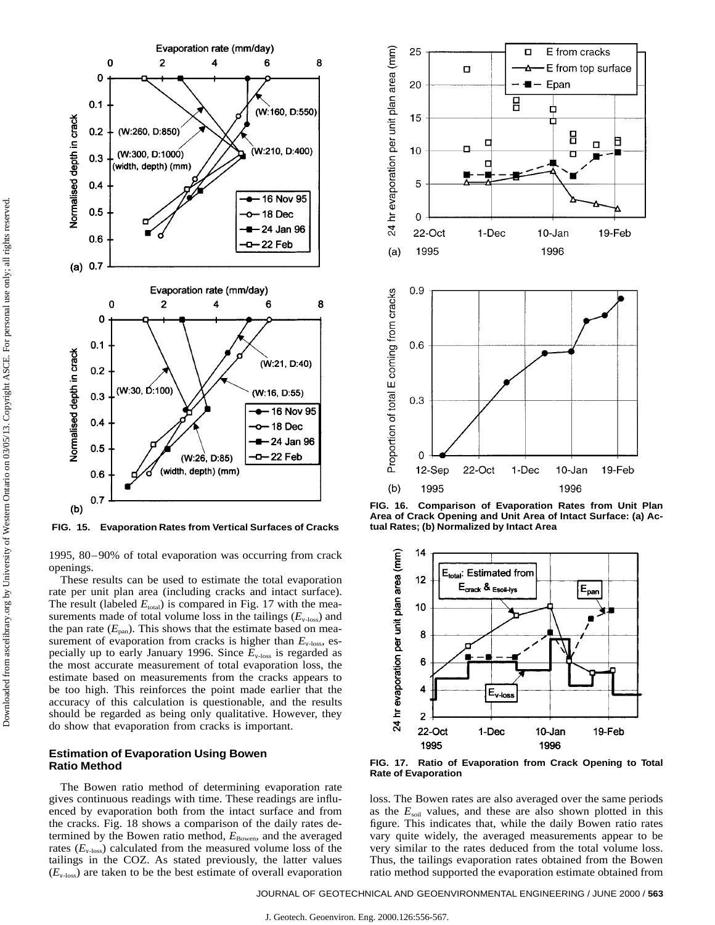



**FIG. 15. Evaporation Rates from Vertical Surfaces of Cracks**

1995, 80–90% of total evaporation was occurring from crack openings.

These results can be used to estimate the total evaporation rate per unit plan area (including cracks and intact surface). The result (labeled  $E_{\text{total}}$ ) is compared in Fig. 17 with the measurements made of total volume loss in the tailings  $(E_{\nu \text{-loss}})$  and the pan rate  $(E_{\text{pan}})$ . This shows that the estimate based on measurement of evaporation from cracks is higher than  $E_{\nu\text{-loss}}$ , especially up to early January 1996. Since  $E_{\nu\text{-loss}}$  is regarded as the most accurate measurement of total evaporation loss, the estimate based on measurements from the cracks appears to be too high. This reinforces the point made earlier that the accuracy of this calculation is questionable, and the results should be regarded as being only qualitative. However, they do show that evaporation from cracks is important.

## **Estimation of Evaporation Using Bowen Ratio Method**

The Bowen ratio method of determining evaporation rate gives continuous readings with time. These readings are influenced by evaporation both from the intact surface and from the cracks. Fig. 18 shows a comparison of the daily rates determined by the Bowen ratio method,  $E_{\text{Bowen}}$ , and the averaged rates  $(E_{\nu \text{loss}})$  calculated from the measured volume loss of the tailings in the COZ. As stated previously, the latter values  $(E_{\nu\text{-loss}})$  are taken to be the best estimate of overall evaporation



**FIG. 16. Comparison of Evaporation Rates from Unit Plan Area of Crack Opening and Unit Area of Intact Surface: (a) Actual Rates; (b) Normalized by Intact Area**



**FIG. 17. Ratio of Evaporation from Crack Opening to Total Rate of Evaporation**

loss. The Bowen rates are also averaged over the same periods as the *E*soil values, and these are also shown plotted in this figure. This indicates that, while the daily Bowen ratio rates vary quite widely, the averaged measurements appear to be very similar to the rates deduced from the total volume loss. Thus, the tailings evaporation rates obtained from the Bowen ratio method supported the evaporation estimate obtained from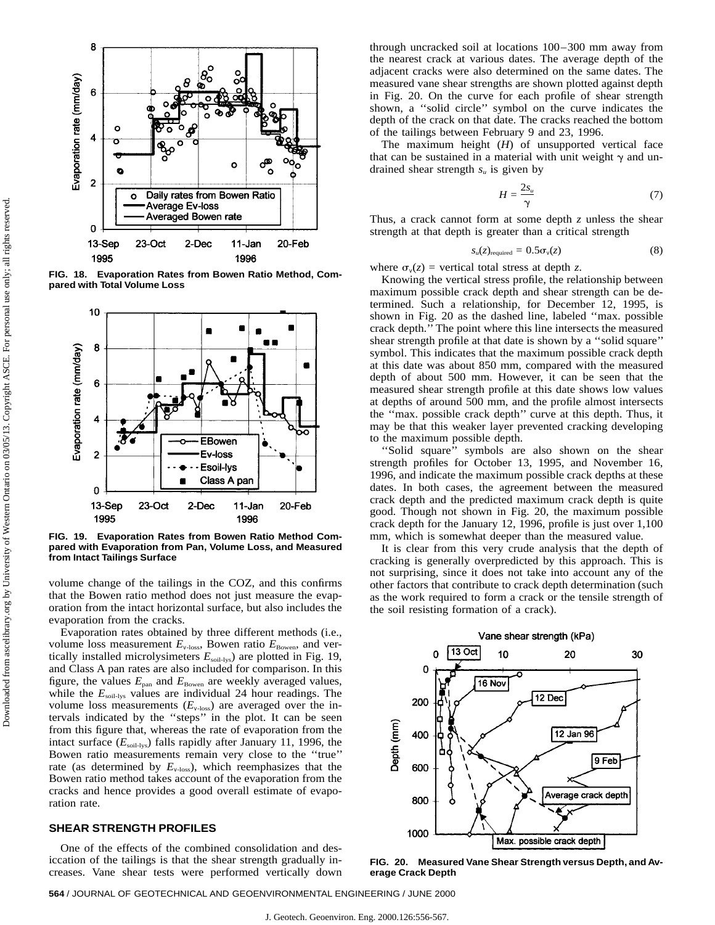

**FIG. 18. Evaporation Rates from Bowen Ratio Method, Compared with Total Volume Loss**



**FIG. 19. Evaporation Rates from Bowen Ratio Method Compared with Evaporation from Pan, Volume Loss, and Measured from Intact Tailings Surface**

volume change of the tailings in the COZ, and this confirms that the Bowen ratio method does not just measure the evaporation from the intact horizontal surface, but also includes the evaporation from the cracks.

Evaporation rates obtained by three different methods (i.e., volume loss measurement  $E_{\nu\text{-loss}}$ , Bowen ratio  $E_{\text{Bowen}}$ , and vertically installed microlysimeters  $E_{\text{soil-lys}}$ ) are plotted in Fig. 19, and Class A pan rates are also included for comparison. In this figure, the values  $E_{\text{pan}}$  and  $E_{\text{Bowen}}$  are weekly averaged values, while the  $E_{\text{soil-lys}}$  values are individual 24 hour readings. The volume loss measurements  $(E_{\nu\text{-loss}})$  are averaged over the intervals indicated by the ''steps'' in the plot. It can be seen from this figure that, whereas the rate of evaporation from the intact surface  $(E_{\text{soil-lvs}})$  falls rapidly after January 11, 1996, the Bowen ratio measurements remain very close to the ''true'' rate (as determined by  $E_{\nu \text{loss}}$ ), which reemphasizes that the Bowen ratio method takes account of the evaporation from the cracks and hence provides a good overall estimate of evaporation rate.

#### **SHEAR STRENGTH PROFILES**

One of the effects of the combined consolidation and desiccation of the tailings is that the shear strength gradually increases. Vane shear tests were performed vertically down through uncracked soil at locations 100–300 mm away from the nearest crack at various dates. The average depth of the adjacent cracks were also determined on the same dates. The measured vane shear strengths are shown plotted against depth in Fig. 20. On the curve for each profile of shear strength shown, a ''solid circle'' symbol on the curve indicates the depth of the crack on that date. The cracks reached the bottom of the tailings between February 9 and 23, 1996.

The maximum height (*H*) of unsupported vertical face that can be sustained in a material with unit weight  $\gamma$  and undrained shear strength *su* is given by

$$
H = \frac{2s_u}{\gamma} \tag{7}
$$

Thus, a crack cannot form at some depth *z* unless the shear strength at that depth is greater than a critical strength

$$
s_u(z)_{\text{required}} = 0.5\sigma_v(z) \tag{8}
$$

where  $\sigma_{\nu}(z)$  = vertical total stress at depth *z*.

Knowing the vertical stress profile, the relationship between maximum possible crack depth and shear strength can be determined. Such a relationship, for December 12, 1995, is shown in Fig. 20 as the dashed line, labeled ''max. possible crack depth.'' The point where this line intersects the measured shear strength profile at that date is shown by a ''solid square'' symbol. This indicates that the maximum possible crack depth at this date was about 850 mm, compared with the measured depth of about 500 mm. However, it can be seen that the measured shear strength profile at this date shows low values at depths of around 500 mm, and the profile almost intersects the ''max. possible crack depth'' curve at this depth. Thus, it may be that this weaker layer prevented cracking developing to the maximum possible depth.

"Solid square" symbols are also shown on the shear strength profiles for October 13, 1995, and November 16, 1996, and indicate the maximum possible crack depths at these dates. In both cases, the agreement between the measured crack depth and the predicted maximum crack depth is quite good. Though not shown in Fig. 20, the maximum possible crack depth for the January 12, 1996, profile is just over 1,100 mm, which is somewhat deeper than the measured value.

It is clear from this very crude analysis that the depth of cracking is generally overpredicted by this approach. This is not surprising, since it does not take into account any of the other factors that contribute to crack depth determination (such as the work required to form a crack or the tensile strength of the soil resisting formation of a crack).



**FIG. 20. Measured Vane Shear Strength versus Depth, and Average Crack Depth**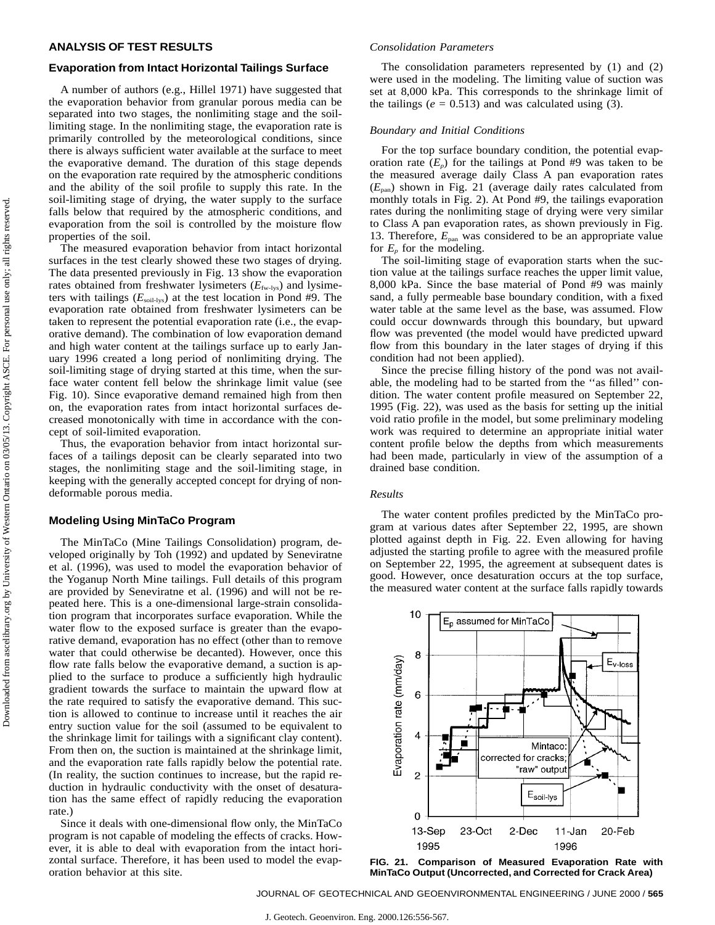## **ANALYSIS OF TEST RESULTS**

#### **Evaporation from Intact Horizontal Tailings Surface**

A number of authors (e.g., Hillel 1971) have suggested that the evaporation behavior from granular porous media can be separated into two stages, the nonlimiting stage and the soillimiting stage. In the nonlimiting stage, the evaporation rate is primarily controlled by the meteorological conditions, since there is always sufficient water available at the surface to meet the evaporative demand. The duration of this stage depends on the evaporation rate required by the atmospheric conditions and the ability of the soil profile to supply this rate. In the soil-limiting stage of drying, the water supply to the surface falls below that required by the atmospheric conditions, and evaporation from the soil is controlled by the moisture flow properties of the soil.

The measured evaporation behavior from intact horizontal surfaces in the test clearly showed these two stages of drying. The data presented previously in Fig. 13 show the evaporation rates obtained from freshwater lysimeters  $(E_{f_{\rm W-1ys}})$  and lysimeters with tailings  $(E_{\text{soil-lys}})$  at the test location in Pond #9. The evaporation rate obtained from freshwater lysimeters can be taken to represent the potential evaporation rate (i.e., the evaporative demand). The combination of low evaporation demand and high water content at the tailings surface up to early January 1996 created a long period of nonlimiting drying. The soil-limiting stage of drying started at this time, when the surface water content fell below the shrinkage limit value (see Fig. 10). Since evaporative demand remained high from then on, the evaporation rates from intact horizontal surfaces decreased monotonically with time in accordance with the concept of soil-limited evaporation.

Thus, the evaporation behavior from intact horizontal surfaces of a tailings deposit can be clearly separated into two stages, the nonlimiting stage and the soil-limiting stage, in keeping with the generally accepted concept for drying of nondeformable porous media.

## **Modeling Using MinTaCo Program**

The MinTaCo (Mine Tailings Consolidation) program, developed originally by Toh (1992) and updated by Seneviratne et al. (1996), was used to model the evaporation behavior of the Yoganup North Mine tailings. Full details of this program are provided by Seneviratne et al. (1996) and will not be repeated here. This is a one-dimensional large-strain consolidation program that incorporates surface evaporation. While the water flow to the exposed surface is greater than the evaporative demand, evaporation has no effect (other than to remove water that could otherwise be decanted). However, once this flow rate falls below the evaporative demand, a suction is applied to the surface to produce a sufficiently high hydraulic gradient towards the surface to maintain the upward flow at the rate required to satisfy the evaporative demand. This suction is allowed to continue to increase until it reaches the air entry suction value for the soil (assumed to be equivalent to the shrinkage limit for tailings with a significant clay content). From then on, the suction is maintained at the shrinkage limit, and the evaporation rate falls rapidly below the potential rate. (In reality, the suction continues to increase, but the rapid reduction in hydraulic conductivity with the onset of desaturation has the same effect of rapidly reducing the evaporation rate.)

Since it deals with one-dimensional flow only, the MinTaCo program is not capable of modeling the effects of cracks. However, it is able to deal with evaporation from the intact horizontal surface. Therefore, it has been used to model the evaporation behavior at this site.

#### *Consolidation Parameters*

The consolidation parameters represented by (1) and (2) were used in the modeling. The limiting value of suction was set at 8,000 kPa. This corresponds to the shrinkage limit of the tailings ( $e = 0.513$ ) and was calculated using (3).

#### *Boundary and Initial Conditions*

For the top surface boundary condition, the potential evaporation rate  $(E_p)$  for the tailings at Pond #9 was taken to be the measured average daily Class A pan evaporation rates (*E*pan) shown in Fig. 21 (average daily rates calculated from monthly totals in Fig. 2). At Pond #9, the tailings evaporation rates during the nonlimiting stage of drying were very similar to Class A pan evaporation rates, as shown previously in Fig. 13. Therefore,  $E_{\text{pan}}$  was considered to be an appropriate value for  $E_n$  for the modeling.

The soil-limiting stage of evaporation starts when the suction value at the tailings surface reaches the upper limit value, 8,000 kPa. Since the base material of Pond #9 was mainly sand, a fully permeable base boundary condition, with a fixed water table at the same level as the base, was assumed. Flow could occur downwards through this boundary, but upward flow was prevented (the model would have predicted upward flow from this boundary in the later stages of drying if this condition had not been applied).

Since the precise filling history of the pond was not available, the modeling had to be started from the ''as filled'' condition. The water content profile measured on September 22, 1995 (Fig. 22), was used as the basis for setting up the initial void ratio profile in the model, but some preliminary modeling work was required to determine an appropriate initial water content profile below the depths from which measurements had been made, particularly in view of the assumption of a drained base condition.

#### *Results*

The water content profiles predicted by the MinTaCo program at various dates after September 22, 1995, are shown plotted against depth in Fig. 22. Even allowing for having adjusted the starting profile to agree with the measured profile on September 22, 1995, the agreement at subsequent dates is good. However, once desaturation occurs at the top surface, the measured water content at the surface falls rapidly towards



**FIG. 21. Comparison of Measured Evaporation Rate with MinTaCo Output (Uncorrected, and Corrected for Crack Area)**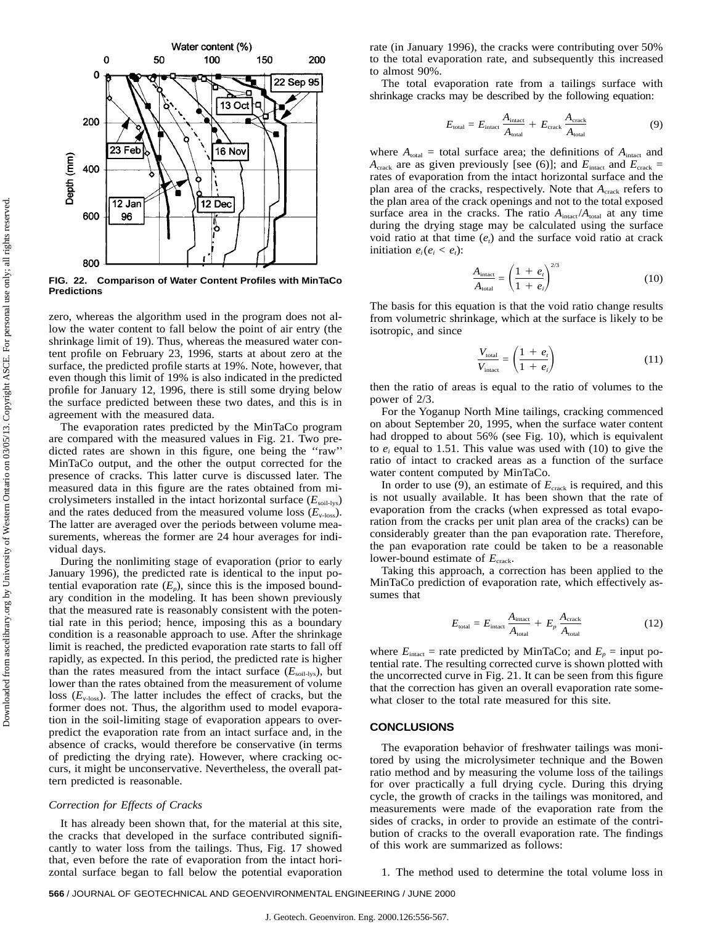

**FIG. 22. Comparison of Water Content Profiles with MinTaCo Predictions**

zero, whereas the algorithm used in the program does not allow the water content to fall below the point of air entry (the shrinkage limit of 19). Thus, whereas the measured water content profile on February 23, 1996, starts at about zero at the surface, the predicted profile starts at 19%. Note, however, that even though this limit of 19% is also indicated in the predicted profile for January 12, 1996, there is still some drying below the surface predicted between these two dates, and this is in agreement with the measured data.

The evaporation rates predicted by the MinTaCo program are compared with the measured values in Fig. 21. Two predicted rates are shown in this figure, one being the ''raw'' MinTaCo output, and the other the output corrected for the presence of cracks. This latter curve is discussed later. The measured data in this figure are the rates obtained from microlysimeters installed in the intact horizontal surface  $(E_{\text{sol-lys}})$ and the rates deduced from the measured volume loss  $(E_{\nu\text{-loss}})$ . The latter are averaged over the periods between volume measurements, whereas the former are 24 hour averages for individual days.

During the nonlimiting stage of evaporation (prior to early January 1996), the predicted rate is identical to the input potential evaporation rate  $(E_p)$ , since this is the imposed boundary condition in the modeling. It has been shown previously that the measured rate is reasonably consistent with the potential rate in this period; hence, imposing this as a boundary condition is a reasonable approach to use. After the shrinkage limit is reached, the predicted evaporation rate starts to fall off rapidly, as expected. In this period, the predicted rate is higher than the rates measured from the intact surface  $(E_{\text{soil-lys}})$ , but lower than the rates obtained from the measurement of volume loss  $(E_{\nu\text{-loss}})$ . The latter includes the effect of cracks, but the former does not. Thus, the algorithm used to model evaporation in the soil-limiting stage of evaporation appears to overpredict the evaporation rate from an intact surface and, in the absence of cracks, would therefore be conservative (in terms of predicting the drying rate). However, where cracking occurs, it might be unconservative. Nevertheless, the overall pattern predicted is reasonable.

#### *Correction for Effects of Cracks*

It has already been shown that, for the material at this site, the cracks that developed in the surface contributed significantly to water loss from the tailings. Thus, Fig. 17 showed that, even before the rate of evaporation from the intact horizontal surface began to fall below the potential evaporation rate (in January 1996), the cracks were contributing over 50% to the total evaporation rate, and subsequently this increased to almost 90%.

The total evaporation rate from a tailings surface with shrinkage cracks may be described by the following equation:

$$
E_{\text{total}} = E_{\text{intact}} \frac{A_{\text{intact}}}{A_{\text{total}}} + E_{\text{crack}} \frac{A_{\text{crack}}}{A_{\text{total}}}
$$
(9)

where  $A_{\text{total}}$  = total surface area; the definitions of  $A_{\text{inter}}$  and  $A_{\text{crack}}$  are as given previously [see (6)]; and  $E_{\text{intact}}$  and  $E_{\text{crack}} =$ rates of evaporation from the intact horizontal surface and the plan area of the cracks, respectively. Note that  $A_{\text{crack}}$  refers to the plan area of the crack openings and not to the total exposed surface area in the cracks. The ratio  $A_{\text{intact}}/A_{\text{total}}$  at any time during the drying stage may be calculated using the surface void ratio at that time  $(e_t)$  and the surface void ratio at crack initiation  $e_i(e_i < e_i)$ :

$$
\frac{A_{\text{intact}}}{A_{\text{total}}} = \left(\frac{1 + e_t}{1 + e_i}\right)^{2/3} \tag{10}
$$

The basis for this equation is that the void ratio change results from volumetric shrinkage, which at the surface is likely to be isotropic, and since

$$
\frac{V_{\text{total}}}{V_{\text{inact}}} = \left(\frac{1 + e_i}{1 + e_i}\right) \tag{11}
$$

then the ratio of areas is equal to the ratio of volumes to the power of 2/3.

For the Yoganup North Mine tailings, cracking commenced on about September 20, 1995, when the surface water content had dropped to about 56% (see Fig. 10), which is equivalent to  $e_i$  equal to 1.51. This value was used with (10) to give the ratio of intact to cracked areas as a function of the surface water content computed by MinTaCo.

In order to use (9), an estimate of  $E_{\text{crack}}$  is required, and this is not usually available. It has been shown that the rate of evaporation from the cracks (when expressed as total evaporation from the cracks per unit plan area of the cracks) can be considerably greater than the pan evaporation rate. Therefore, the pan evaporation rate could be taken to be a reasonable lower-bound estimate of  $E_{\text{crack}}$ .

Taking this approach, a correction has been applied to the MinTaCo prediction of evaporation rate, which effectively assumes that

$$
E_{\text{total}} = E_{\text{intact}} \frac{A_{\text{intact}}}{A_{\text{total}}} + E_p \frac{A_{\text{crack}}}{A_{\text{total}}}
$$
(12)

where  $E_{\text{intact}}$  = rate predicted by MinTaCo; and  $E_p$  = input potential rate. The resulting corrected curve is shown plotted with the uncorrected curve in Fig. 21. It can be seen from this figure that the correction has given an overall evaporation rate somewhat closer to the total rate measured for this site.

#### **CONCLUSIONS**

The evaporation behavior of freshwater tailings was monitored by using the microlysimeter technique and the Bowen ratio method and by measuring the volume loss of the tailings for over practically a full drying cycle. During this drying cycle, the growth of cracks in the tailings was monitored, and measurements were made of the evaporation rate from the sides of cracks, in order to provide an estimate of the contribution of cracks to the overall evaporation rate. The findings of this work are summarized as follows:

1. The method used to determine the total volume loss in